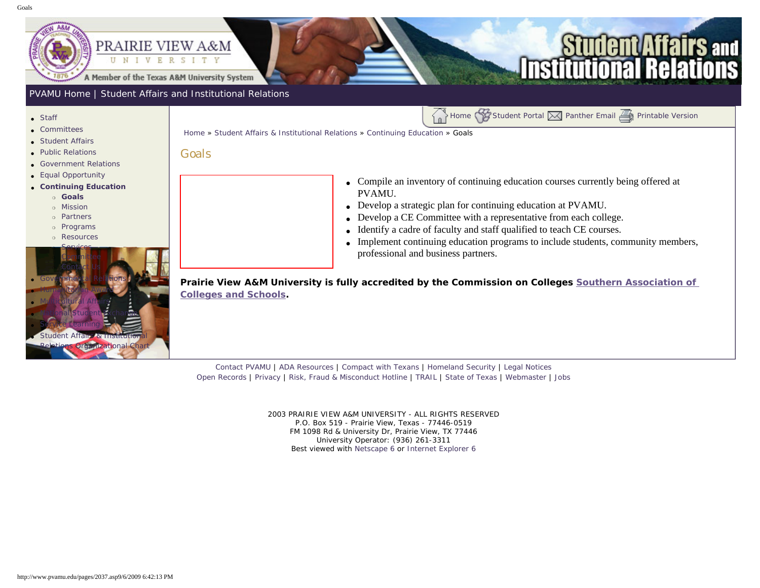<span id="page-0-0"></span>

# **irs and**

### [PVAMU Home](http://www.pvamu.edu/pages/1.asp) | [Student Affairs and Institutional Relations](http://www.pvamu.edu/pages/114.asp)

- [Staff](http://www.pvamu.edu/pages/923.asp)
- [Committees](http://www.pvamu.edu/pages/925.asp)
- [Student Affairs](http://www.pvamu.edu/pages/1441.asp)
- [Public Relations](http://www.pvamu.edu/pages/926.asp)
- [Government Relations](http://www.pvamu.edu/pages/927.asp)
- [Equal Opportunity](http://www.pvamu.edu/pages/929.asp)
- ● **[Continuing Education](http://www.pvamu.edu/pages/2034.asp)**
	- ❍ **[Goals](#page-0-0)**
	- ❍ [Mission](http://www.pvamu.edu/pages/2035.asp)
	- ❍ [Partners](http://www.pvamu.edu/pages/2039.asp)
	- ❍ [Programs](http://www.pvamu.edu/pages/2038.asp)
	- ❍ [Resources](http://www.pvamu.edu/pages/2042.asp)



[Home](http://www.pvamu.edu/pages/1.asp) » [Student Affairs & Institutional Relations](http://www.pvamu.edu/pages/114.asp) » [Continuing Education](http://www.pvamu.edu/pages/2034.asp) » Goals

#### Goals

- Compile an inventory of continuing education courses currently being offered at PVAMU.
- Develop a strategic plan for continuing education at PVAMU.
- Develop a CE Committee with a representative from each college.
- Identify a cadre of faculty and staff qualified to teach CE courses.
- Implement continuing education programs to include students, community members, professional and business partners.

Home [Student Portal](http://panthertracks.pvamu.edu/) & [Panther Email](http://www.pvamu.edu/pages/1740.asp) [Printable Version](http://www.pvamu.edu/print/2037.asp)

**Prairie View A&M University is fully accredited by the Commission on Colleges [Southern Association of](https://pvumail.pvamu.edu/exchweb/bin/redir.asp?URL=http://www.sacscoc.org/) [Colleges and Schools.](https://pvumail.pvamu.edu/exchweb/bin/redir.asp?URL=http://www.sacscoc.org/)**

[Contact PVAMU](http://www.pvamu.edu/pages/2928.asp) | [ADA Resources](http://www.pvamu.edu/pages/4016.asp) | [Compact with Texans](http://www.pvamu.edu/pages/275.asp) | [Homeland Security](http://www.texashomelandsecurity.com/) | [Legal Notices](http://www.educause.edu/issues/dmca.html) [Open Records](http://www.pvamu.edu/pages/1058.asp) | [Privacy](http://www.pvamu.edu/pages/277.asp) | [Risk, Fraud & Misconduct Hotline](http://www.pvamu.edu/pages/5894.asp) | [TRAIL](http://www.tsl.state.tx.us/trail/index.html) | [State of Texas](http://www.state.tx.us/) | [Webmaster](mailto:webmaster@pvamu.edu) | [Jobs](http://www.pvamu.edu/jobs)

> 2003 PRAIRIE VIEW A&M UNIVERSITY - ALL RIGHTS RESERVED P.O. Box 519 - Prairie View, Texas - 77446-0519 FM 1098 Rd & University Dr, Prairie View, TX 77446 University Operator: (936) 261-3311 Best viewed with [Netscape 6](http://channels.netscape.com/ns/browsers/download.jsp) or [Internet Explorer 6](http://www.microsoft.com/downloads/details.aspx?FamilyID=1e1550cb-5e5d-48f5-b02b-20b602228de6&displaylang=en)